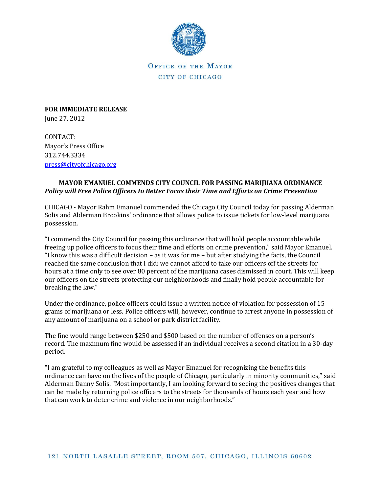

OFFICE OF THE MAYOR CITY OF CHICAGO

**FOR IMMEDIATE RELEASE** June 27, 2012

CONTACT: Mayor's Press Office 312.744.3334 [press@cityofchicago.org](mailto:press@cityofchicago.org)

## **MAYOR EMANUEL COMMENDS CITY COUNCIL FOR PASSING MARIJUANA ORDINANCE** *Policy will Free Police Officers to Better Focus their Time and Efforts on Crime Prevention*

CHICAGO - Mayor Rahm Emanuel commended the Chicago City Council today for passing Alderman Solis and Alderman Brookins' ordinance that allows police to issue tickets for low-level marijuana possession.

"I commend the City Council for passing this ordinance that will hold people accountable while freeing up police officers to focus their time and efforts on crime prevention," said Mayor Emanuel. "I know this was a difficult decision – as it was for me – but after studying the facts, the Council reached the same conclusion that I did: we cannot afford to take our officers off the streets for hours at a time only to see over 80 percent of the marijuana cases dismissed in court. This will keep our officers on the streets protecting our neighborhoods and finally hold people accountable for breaking the law."

Under the ordinance, police officers could issue a written notice of violation for possession of 15 grams of marijuana or less. Police officers will, however, continue to arrest anyone in possession of any amount of marijuana on a school or park district facility.

The fine would range between \$250 and \$500 based on the number of offenses on a person's record. The maximum fine would be assessed if an individual receives a second citation in a 30-day period.

"I am grateful to my colleagues as well as Mayor Emanuel for recognizing the benefits this ordinance can have on the lives of the people of Chicago, particularly in minority communities," said Alderman Danny Solis. "Most importantly, I am looking forward to seeing the positives changes that can be made by returning police officers to the streets for thousands of hours each year and how that can work to deter crime and violence in our neighborhoods."